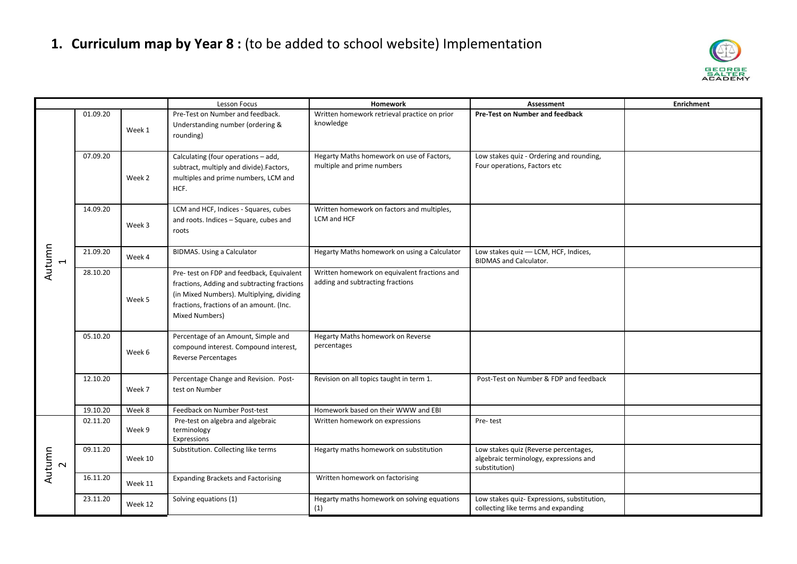

|                                    |          |         | Lesson Focus                                                                                                                                                                                        | Homework                                                                         | Assessment                                                                                       | <b>Enrichment</b> |
|------------------------------------|----------|---------|-----------------------------------------------------------------------------------------------------------------------------------------------------------------------------------------------------|----------------------------------------------------------------------------------|--------------------------------------------------------------------------------------------------|-------------------|
| Autumn<br>$\overline{\phantom{0}}$ | 01.09.20 | Week 1  | Pre-Test on Number and feedback.<br>Understanding number (ordering &<br>rounding)                                                                                                                   | Written homework retrieval practice on prior<br>knowledge                        | Pre-Test on Number and feedback                                                                  |                   |
|                                    | 07.09.20 | Week 2  | Calculating (four operations - add,<br>subtract, multiply and divide).Factors,<br>multiples and prime numbers, LCM and<br>HCF.                                                                      | Hegarty Maths homework on use of Factors,<br>multiple and prime numbers          | Low stakes quiz - Ordering and rounding,<br>Four operations, Factors etc                         |                   |
|                                    | 14.09.20 | Week 3  | LCM and HCF, Indices - Squares, cubes<br>and roots. Indices - Square, cubes and<br>roots                                                                                                            | Written homework on factors and multiples,<br>LCM and HCF                        |                                                                                                  |                   |
|                                    | 21.09.20 | Week 4  | <b>BIDMAS.</b> Using a Calculator                                                                                                                                                                   | Hegarty Maths homework on using a Calculator                                     | Low stakes quiz - LCM, HCF, Indices,<br><b>BIDMAS and Calculator.</b>                            |                   |
|                                    | 28.10.20 | Week 5  | Pre- test on FDP and feedback, Equivalent<br>fractions, Adding and subtracting fractions<br>(in Mixed Numbers). Multiplying, dividing<br>fractions, fractions of an amount. (Inc.<br>Mixed Numbers) | Written homework on equivalent fractions and<br>adding and subtracting fractions |                                                                                                  |                   |
|                                    | 05.10.20 | Week 6  | Percentage of an Amount, Simple and<br>compound interest. Compound interest,<br><b>Reverse Percentages</b>                                                                                          | Hegarty Maths homework on Reverse<br>percentages                                 |                                                                                                  |                   |
|                                    | 12.10.20 | Week 7  | Percentage Change and Revision. Post-<br>test on Number                                                                                                                                             | Revision on all topics taught in term 1.                                         | Post-Test on Number & FDP and feedback                                                           |                   |
|                                    | 19.10.20 | Week 8  | Feedback on Number Post-test                                                                                                                                                                        | Homework based on their WWW and EBI                                              |                                                                                                  |                   |
| Autumn                             | 02.11.20 | Week 9  | Pre-test on algebra and algebraic<br>terminology<br>Expressions                                                                                                                                     | Written homework on expressions                                                  | Pre-test                                                                                         |                   |
|                                    | 09.11.20 | Week 10 | Substitution. Collecting like terms                                                                                                                                                                 | Hegarty maths homework on substitution                                           | Low stakes quiz (Reverse percentages,<br>algebraic terminology, expressions and<br>substitution) |                   |
|                                    | 16.11.20 | Week 11 | <b>Expanding Brackets and Factorising</b>                                                                                                                                                           | Written homework on factorising                                                  |                                                                                                  |                   |
|                                    | 23.11.20 | Week 12 | Solving equations (1)                                                                                                                                                                               | Hegarty maths homework on solving equations<br>(1)                               | Low stakes quiz- Expressions, substitution,<br>collecting like terms and expanding               |                   |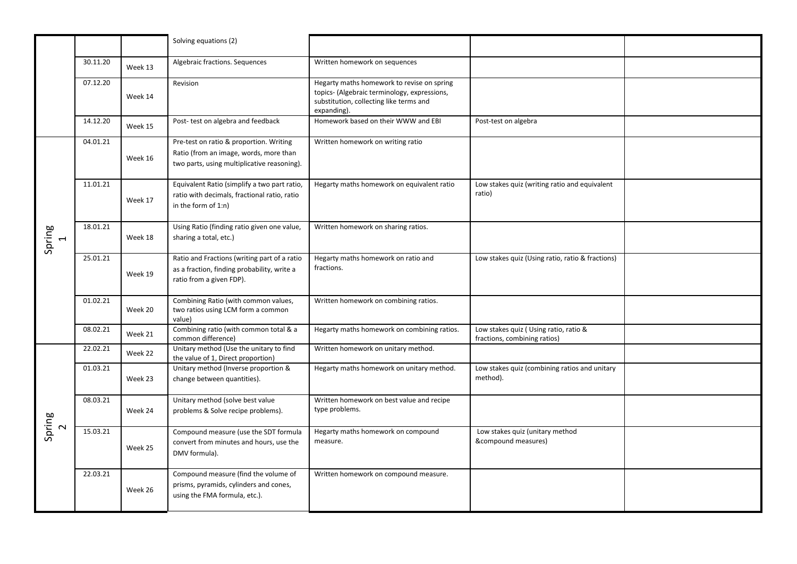|             |          |         | Solving equations (2)                                                                                                            |                                                                                                                                                      |                                                                       |  |
|-------------|----------|---------|----------------------------------------------------------------------------------------------------------------------------------|------------------------------------------------------------------------------------------------------------------------------------------------------|-----------------------------------------------------------------------|--|
|             | 30.11.20 | Week 13 | Algebraic fractions. Sequences                                                                                                   | Written homework on sequences                                                                                                                        |                                                                       |  |
|             | 07.12.20 | Week 14 | Revision                                                                                                                         | Hegarty maths homework to revise on spring<br>topics- (Algebraic terminology, expressions,<br>substitution, collecting like terms and<br>expanding). |                                                                       |  |
|             | 14.12.20 | Week 15 | Post-test on algebra and feedback                                                                                                | Homework based on their WWW and EBI                                                                                                                  | Post-test on algebra                                                  |  |
| Spring<br>1 | 04.01.21 | Week 16 | Pre-test on ratio & proportion. Writing<br>Ratio (from an image, words, more than<br>two parts, using multiplicative reasoning). | Written homework on writing ratio                                                                                                                    |                                                                       |  |
|             | 11.01.21 | Week 17 | Equivalent Ratio (simplify a two part ratio,<br>ratio with decimals, fractional ratio, ratio<br>in the form of 1:n)              | Hegarty maths homework on equivalent ratio                                                                                                           | Low stakes quiz (writing ratio and equivalent<br>ratio)               |  |
|             | 18.01.21 | Week 18 | Using Ratio (finding ratio given one value,<br>sharing a total, etc.)                                                            | Written homework on sharing ratios.                                                                                                                  |                                                                       |  |
|             | 25.01.21 | Week 19 | Ratio and Fractions (writing part of a ratio<br>as a fraction, finding probability, write a<br>ratio from a given FDP).          | Hegarty maths homework on ratio and<br>fractions.                                                                                                    | Low stakes quiz (Using ratio, ratio & fractions)                      |  |
|             | 01.02.21 | Week 20 | Combining Ratio (with common values,<br>two ratios using LCM form a common<br>value)                                             | Written homework on combining ratios.                                                                                                                |                                                                       |  |
|             | 08.02.21 | Week 21 | Combining ratio (with common total & a<br>common difference)                                                                     | Hegarty maths homework on combining ratios.                                                                                                          | Low stakes quiz (Using ratio, ratio &<br>fractions, combining ratios) |  |
| Spring<br>2 | 22.02.21 | Week 22 | Unitary method (Use the unitary to find<br>the value of 1, Direct proportion)                                                    | Written homework on unitary method.                                                                                                                  |                                                                       |  |
|             | 01.03.21 | Week 23 | Unitary method (Inverse proportion &<br>change between quantities).                                                              | Hegarty maths homework on unitary method.                                                                                                            | Low stakes quiz (combining ratios and unitary<br>method).             |  |
|             | 08.03.21 | Week 24 | Unitary method (solve best value<br>problems & Solve recipe problems).                                                           | Written homework on best value and recipe<br>type problems.                                                                                          |                                                                       |  |
|             | 15.03.21 | Week 25 | Compound measure (use the SDT formula<br>convert from minutes and hours, use the<br>DMV formula).                                | Hegarty maths homework on compound<br>measure.                                                                                                       | Low stakes quiz (unitary method<br>&compound measures)                |  |
|             | 22.03.21 | Week 26 | Compound measure (find the volume of<br>prisms, pyramids, cylinders and cones,<br>using the FMA formula, etc.).                  | Written homework on compound measure.                                                                                                                |                                                                       |  |